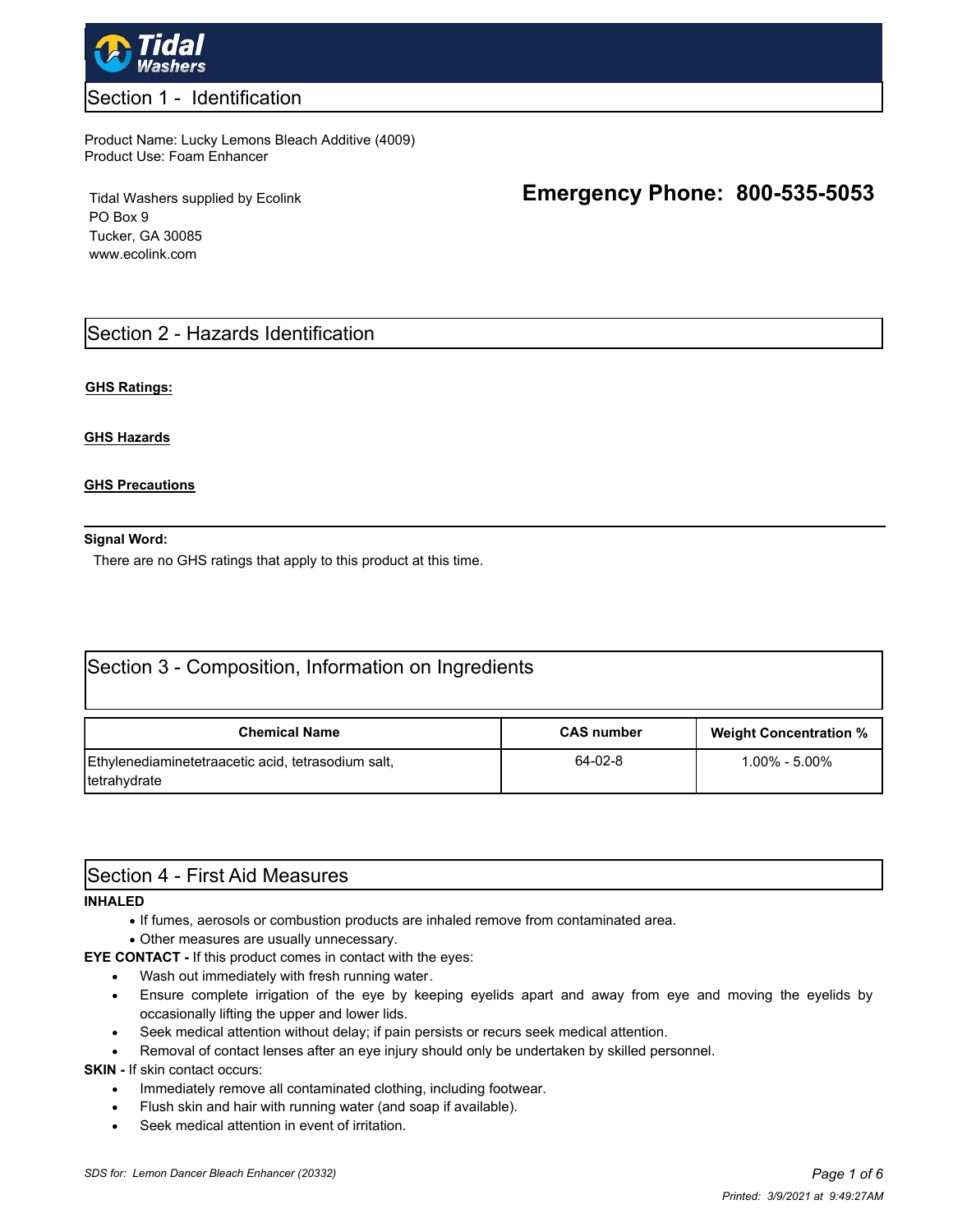

### Section 1 - Identification

#### Product Name: Lucky Lemons Bleach Additive (4009) Product Use: Foam Enhancer

Tidal Washers supplied by Ecolink PO Box 9 Tucker, GA 30085 www.ecolink.com

# **Emergency Phone: 800-535-5053**

## Section 2 - Hazards Identification

#### **GHS Ratings:**

#### **GHS Hazards**

#### **GHS Precautions**

#### **Signal Word:**

There are no GHS ratings that apply to this product at this time.

| Section 3 - Composition, Information on Ingredients                |                   |                               |  |  |  |
|--------------------------------------------------------------------|-------------------|-------------------------------|--|--|--|
| <b>Chemical Name</b>                                               | <b>CAS number</b> | <b>Weight Concentration %</b> |  |  |  |
| Ethylenediaminetetraacetic acid, tetrasodium salt,<br>tetrahydrate | 64-02-8           | $1.00\% - 5.00\%$             |  |  |  |

## Section 4 - First Aid Measures

#### **INHALED**

- · If fumes, aerosols or combustion products are inhaled remove from contaminated area.
- · Other measures are usually unnecessary.

**EYE CONTACT -** If this product comes in contact with the eyes:

- Wash out immediately with fresh running water.
- · Ensure complete irrigation of the eye by keeping eyelids apart and away from eye and moving the eyelids by occasionally lifting the upper and lower lids.
- · Seek medical attention without delay; if pain persists or recurs seek medical attention.
- Removal of contact lenses after an eye injury should only be undertaken by skilled personnel.

**SKIN - If skin contact occurs:** 

- · Immediately remove all contaminated clothing, including footwear.
- · Flush skin and hair with running water (and soap if available).
- · Seek medical attention in event of irritation.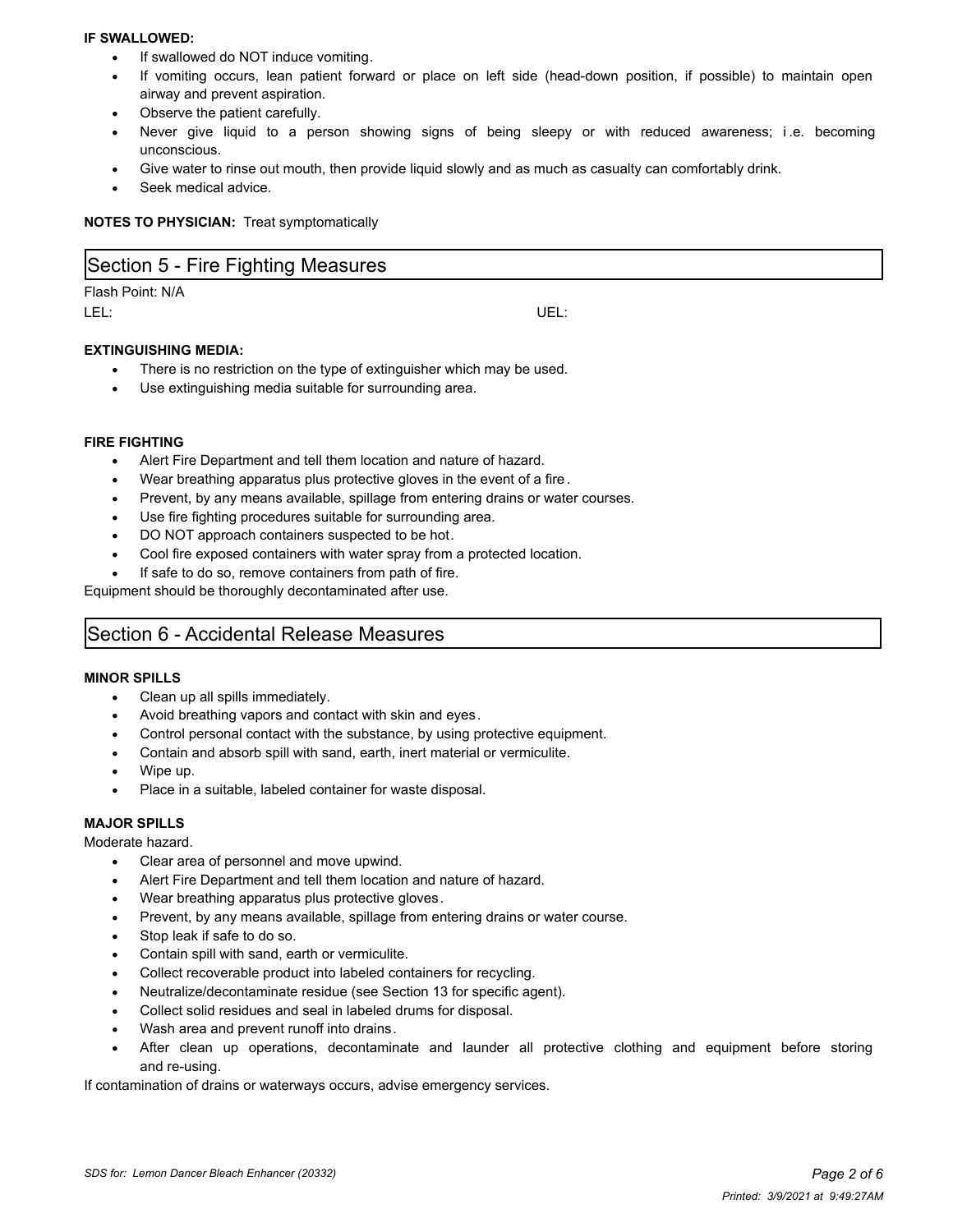#### **IF SWALLOWED:**

- If swallowed do NOT induce vomiting.
- If vomiting occurs, lean patient forward or place on left side (head-down position, if possible) to maintain open airway and prevent aspiration.
- Observe the patient carefully.
- Never give liquid to a person showing signs of being sleepy or with reduced awareness; i.e. becoming unconscious.
- Give water to rinse out mouth, then provide liquid slowly and as much as casualty can comfortably drink.
- Seek medical advice.

**NOTES TO PHYSICIAN:** Treat symptomatically

| Section 5 - Fire Fighting Measures |      |
|------------------------------------|------|
| Flash Point: N/A<br>LEL:           | UEL: |
| <b>EXTINGUISHING MEDIA:</b>        |      |

- There is no restriction on the type of extinguisher which may be used.
- Use extinguishing media suitable for surrounding area.

#### **FIRE FIGHTING**

- Alert Fire Department and tell them location and nature of hazard.
- Wear breathing apparatus plus protective gloves in the event of a fire.
- Prevent, by any means available, spillage from entering drains or water courses.
- Use fire fighting procedures suitable for surrounding area.
- DO NOT approach containers suspected to be hot.
- Cool fire exposed containers with water spray from a protected location.
- If safe to do so, remove containers from path of fire.

Equipment should be thoroughly decontaminated after use.

## Section 6 - Accidental Release Measures

#### **MINOR SPILLS**

- · Clean up all spills immediately.
- Avoid breathing vapors and contact with skin and eyes.
- · Control personal contact with the substance, by using protective equipment.
- Contain and absorb spill with sand, earth, inert material or vermiculite.
- · Wipe up.
- Place in a suitable, labeled container for waste disposal.

#### **MAJOR SPILLS**

#### Moderate hazard.

- · Clear area of personnel and move upwind.
- Alert Fire Department and tell them location and nature of hazard.
- Wear breathing apparatus plus protective gloves.
- Prevent, by any means available, spillage from entering drains or water course.
- Stop leak if safe to do so.
- Contain spill with sand, earth or vermiculite.
- Collect recoverable product into labeled containers for recycling.
- Neutralize/decontaminate residue (see Section 13 for specific agent).
- Collect solid residues and seal in labeled drums for disposal.
- Wash area and prevent runoff into drains.
- After clean up operations, decontaminate and launder all protective clothing and equipment before storing and re-using.

If contamination of drains or waterways occurs, advise emergency services.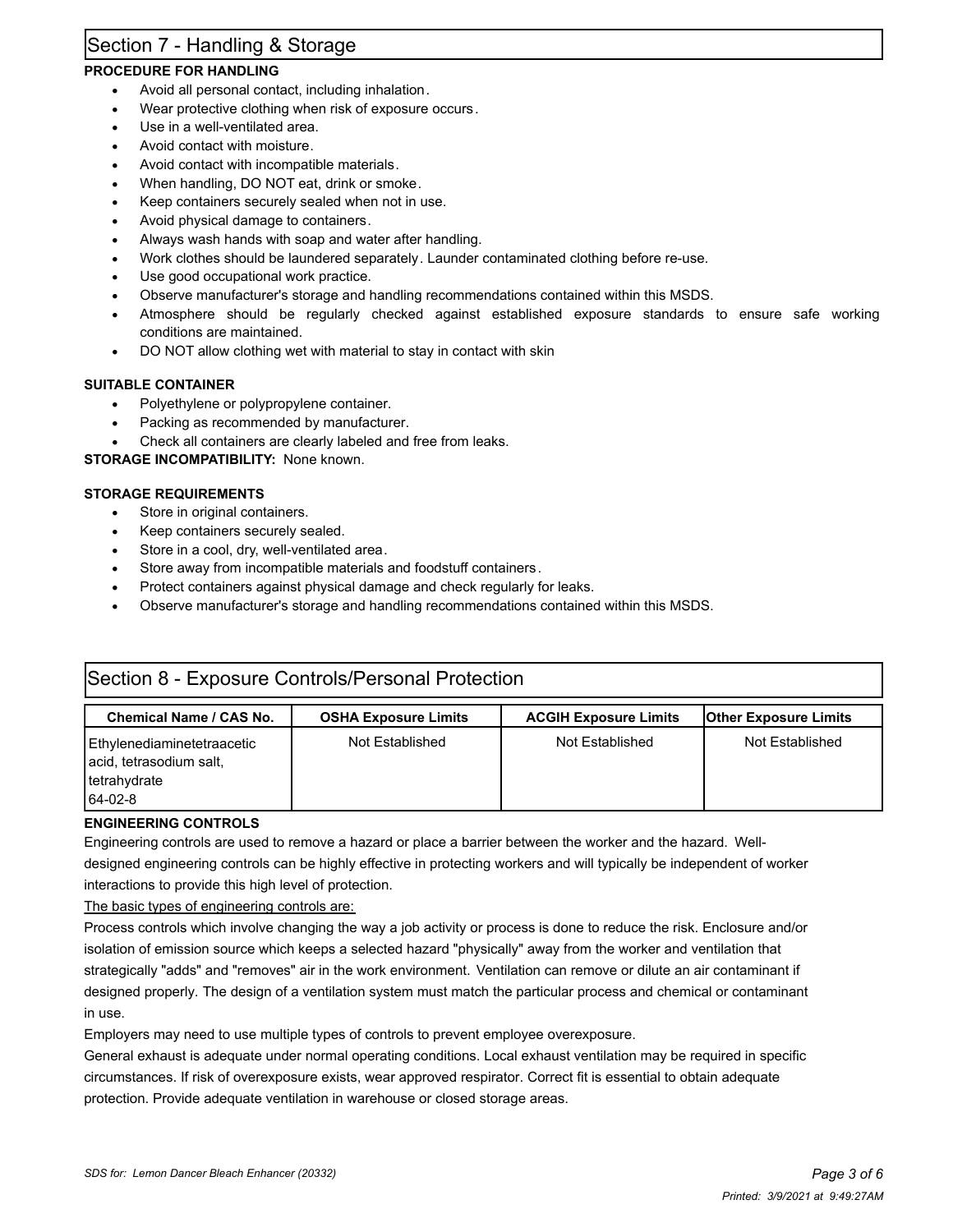# Section 7 - Handling & Storage

### **PROCEDURE FOR HANDLING**

- Avoid all personal contact, including inhalation.
- Wear protective clothing when risk of exposure occurs.
- Use in a well-ventilated area.
- · Avoid contact with moisture.
- · Avoid contact with incompatible materials.
- When handling, DO NOT eat, drink or smoke.
- Keep containers securely sealed when not in use.
- Avoid physical damage to containers.
- Always wash hands with soap and water after handling.
- · Work clothes should be laundered separately. Launder contaminated clothing before re-use.
- Use good occupational work practice.
- · Observe manufacturer's storage and handling recommendations contained within this MSDS.
- Atmosphere should be regularly checked against established exposure standards to ensure safe working conditions are maintained.
- DO NOT allow clothing wet with material to stay in contact with skin

#### **SUITABLE CONTAINER**

- · Polyethylene or polypropylene container.
- Packing as recommended by manufacturer.
- Check all containers are clearly labeled and free from leaks.

#### **STORAGE INCOMPATIBILITY:** None known.

#### **STORAGE REQUIREMENTS**

- Store in original containers.
- Keep containers securely sealed.
- Store in a cool, dry, well-ventilated area.
- Store away from incompatible materials and foodstuff containers.
- Protect containers against physical damage and check regularly for leaks.
- · Observe manufacturer's storage and handling recommendations contained within this MSDS.

| Section 8 - Exposure Controls/Personal Protection                                  |                             |                              |                              |  |  |
|------------------------------------------------------------------------------------|-----------------------------|------------------------------|------------------------------|--|--|
| <b>Chemical Name / CAS No.</b>                                                     | <b>OSHA Exposure Limits</b> | <b>ACGIH Exposure Limits</b> | <b>Other Exposure Limits</b> |  |  |
| Ethylenediaminetetraacetic<br>acid, tetrasodium salt,<br>tetrahydrate<br>$64-02-8$ | Not Established             | Not Established              | Not Established              |  |  |

#### **ENGINEERING CONTROLS**

Engineering controls are used to remove a hazard or place a barrier between the worker and the hazard. Welldesigned engineering controls can be highly effective in protecting workers and will typically be independent of worker interactions to provide this high level of protection.

The basic types of engineering controls are:

Process controls which involve changing the way a job activity or process is done to reduce the risk. Enclosure and/or isolation of emission source which keeps a selected hazard "physically" away from the worker and ventilation that strategically "adds" and "removes" air in the work environment. Ventilation can remove or dilute an air contaminant if designed properly. The design of a ventilation system must match the particular process and chemical or contaminant in use.

Employers may need to use multiple types of controls to prevent employee overexposure.

General exhaust is adequate under normal operating conditions. Local exhaust ventilation may be required in specific circumstances. If risk of overexposure exists, wear approved respirator. Correct fit is essential to obtain adequate protection. Provide adequate ventilation in warehouse or closed storage areas.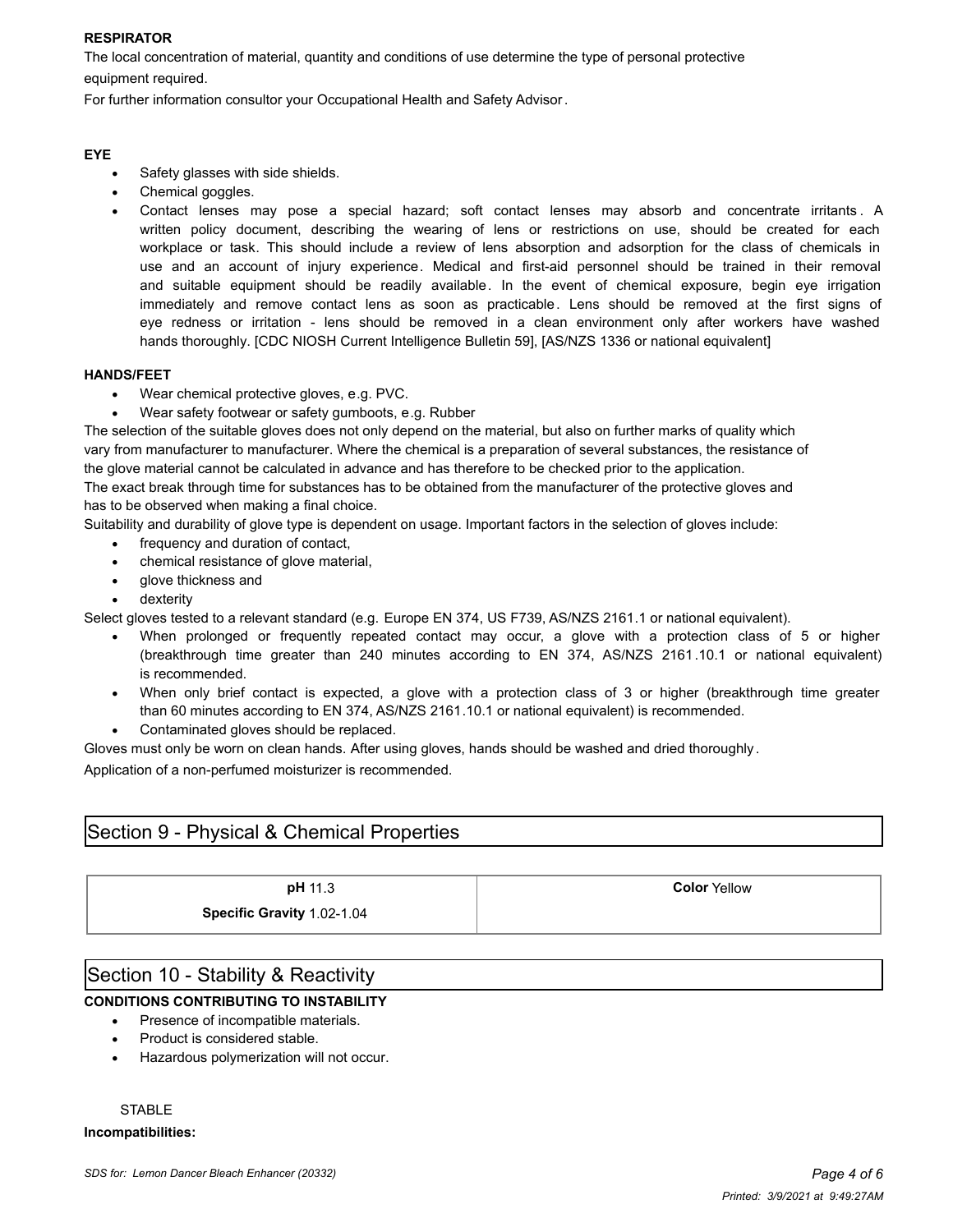#### **RESPIRATOR**

The local concentration of material, quantity and conditions of use determine the type of personal protective equipment required.

For further information consultor your Occupational Health and Safety Advisor.

#### **EYE**

- Safety glasses with side shields.
- · Chemical goggles.
- Contact lenses may pose a special hazard; soft contact lenses may absorb and concentrate irritants. A written policy document, describing the wearing of lens or restrictions on use, should be created for each workplace or task. This should include a review of lens absorption and adsorption for the class of chemicals in use and an account of injury experience. Medical and first-aid personnel should be trained in their removal and suitable equipment should be readily available. In the event of chemical exposure, begin eye irrigation immediately and remove contact lens as soon as practicable. Lens should be removed at the first signs of eye redness or irritation - lens should be removed in a clean environment only after workers have washed hands thoroughly. [CDC NIOSH Current Intelligence Bulletin 59], [AS/NZS 1336 or national equivalent]

#### **HANDS/FEET**

- Wear chemical protective gloves, e.g. PVC.
- Wear safety footwear or safety gumboots, e.g. Rubber

The selection of the suitable gloves does not only depend on the material, but also on further marks of quality which vary from manufacturer to manufacturer. Where the chemical is a preparation of several substances, the resistance of the glove material cannot be calculated in advance and has therefore to be checked prior to the application.

The exact break through time for substances has to be obtained from the manufacturer of the protective gloves and has to be observed when making a final choice.

Suitability and durability of glove type is dependent on usage. Important factors in the selection of gloves include:

- · frequency and duration of contact,
- · chemical resistance of glove material,
- glove thickness and
- dexterity

Select gloves tested to a relevant standard (e.g. Europe EN 374, US F739, AS/NZS 2161.1 or national equivalent).

- When prolonged or frequently repeated contact may occur, a glove with a protection class of 5 or higher (breakthrough time greater than 240 minutes according to EN 374, AS/NZS 2161.10.1 or national equivalent) is recommended.
- · When only brief contact is expected, a glove with a protection class of 3 or higher (breakthrough time greater than 60 minutes according to EN 374, AS/NZS 2161.10.1 or national equivalent) is recommended.
- Contaminated gloves should be replaced.

Gloves must only be worn on clean hands. After using gloves, hands should be washed and dried thoroughly .

Application of a non-perfumed moisturizer is recommended.

## Section 9 - Physical & Chemical Properties

**Specific Gravity** 1.02-1.04

**pH** 11.3 **Color** Yellow

## Section 10 - Stability & Reactivity

### **CONDITIONS CONTRIBUTING TO INSTABILITY**

- · Presence of incompatible materials.
- · Product is considered stable.
- · Hazardous polymerization will not occur.

#### **STABLE**

**Incompatibilities:**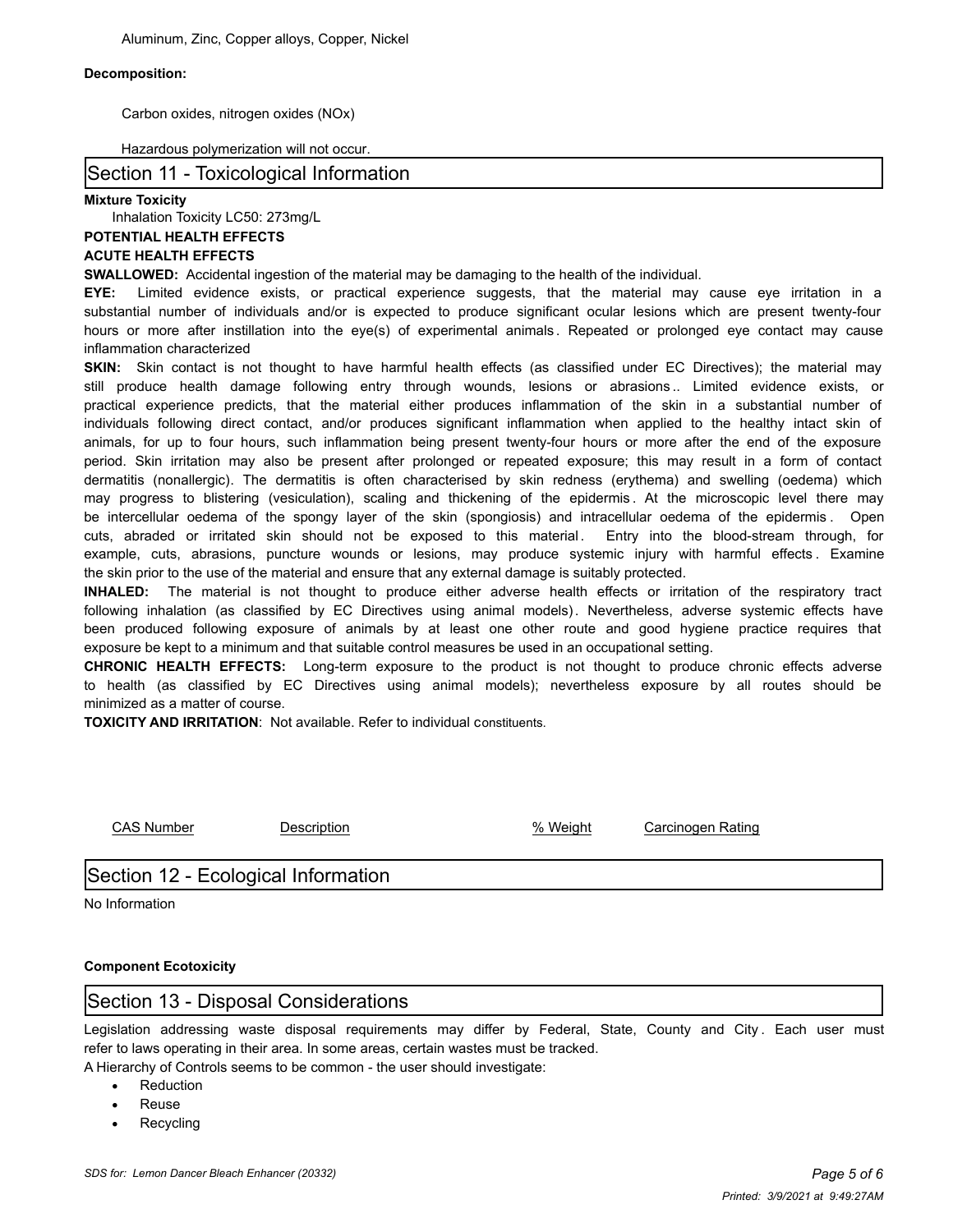#### **Decomposition:**

Carbon oxides, nitrogen oxides (NOx)

#### Hazardous polymerization will not occur.

### Section 11 - Toxicological Information

#### **Mixture Toxicity**

Inhalation Toxicity LC50: 273mg/L

#### **POTENTIAL HEALTH EFFECTS**

#### **ACUTE HEALTH EFFECTS**

**SWALLOWED:** Accidental ingestion of the material may be damaging to the health of the individual.

**EYE:** Limited evidence exists, or practical experience suggests, that the material may cause eye irritation in a substantial number of individuals and/or is expected to produce significant ocular lesions which are present twenty-four hours or more after instillation into the eye(s) of experimental animals . Repeated or prolonged eye contact may cause inflammation characterized

**SKIN:** Skin contact is not thought to have harmful health effects (as classified under EC Directives); the material may still produce health damage following entry through wounds, lesions or abrasions .. Limited evidence exists, or practical experience predicts, that the material either produces inflammation of the skin in a substantial number of individuals following direct contact, and/or produces significant inflammation when applied to the healthy intact skin of animals, for up to four hours, such inflammation being present twenty-four hours or more after the end of the exposure period. Skin irritation may also be present after prolonged or repeated exposure; this may result in a form of contact dermatitis (nonallergic). The dermatitis is often characterised by skin redness (erythema) and swelling (oedema) which may progress to blistering (vesiculation), scaling and thickening of the epidermis . At the microscopic level there may be intercellular oedema of the spongy layer of the skin (spongiosis) and intracellular oedema of the epidermis . Open cuts, abraded or irritated skin should not be exposed to this material. Entry into the blood-stream through, for example, cuts, abrasions, puncture wounds or lesions, may produce systemic injury with harmful effects . Examine the skin prior to the use of the material and ensure that any external damage is suitably protected.

**INHALED:** The material is not thought to produce either adverse health effects or irritation of the respiratory tract following inhalation (as classified by EC Directives using animal models). Nevertheless, adverse systemic effects have been produced following exposure of animals by at least one other route and good hygiene practice requires that exposure be kept to a minimum and that suitable control measures be used in an occupational setting.

**CHRONIC HEALTH EFFECTS:** Long-term exposure to the product is not thought to produce chronic effects adverse to health (as classified by EC Directives using animal models); nevertheless exposure by all routes should be minimized as a matter of course.

**TOXICITY AND IRRITATION**: Not available. Refer to individual constituents.

CAS Number Description % Weight Carcinogen Rating

## Section 12 - Ecological Information

No Information

#### **Component Ecotoxicity**

## Section 13 - Disposal Considerations

Legislation addressing waste disposal requirements may differ by Federal, State, County and City. Each user must refer to laws operating in their area. In some areas, certain wastes must be tracked.

A Hierarchy of Controls seems to be common - the user should investigate:

- · Reduction
- **Reuse**
- **Recycling**